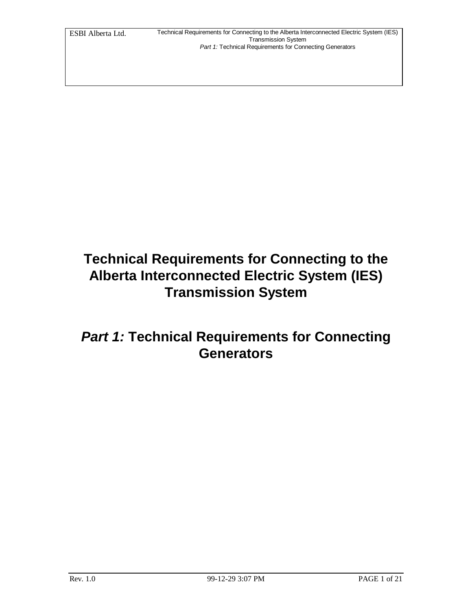# **Technical Requirements for Connecting to the Alberta Interconnected Electric System (IES) Transmission System**

## *Part 1:* **Technical Requirements for Connecting Generators**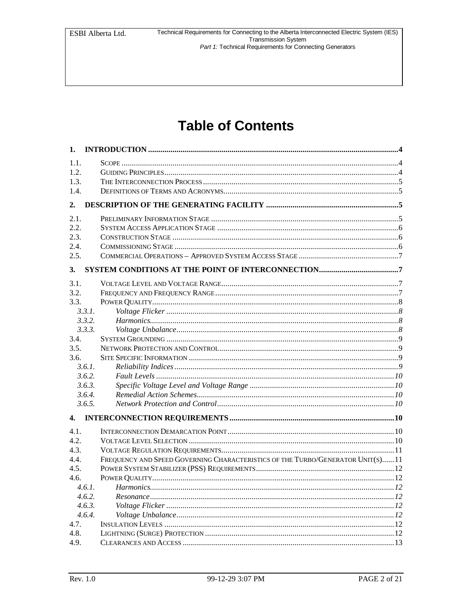# **Table of Contents**

| 1.     |                                                                                                                                                 |  |
|--------|-------------------------------------------------------------------------------------------------------------------------------------------------|--|
| 1.1.   |                                                                                                                                                 |  |
| 1.2.   |                                                                                                                                                 |  |
| 1.3.   |                                                                                                                                                 |  |
| 1.4.   |                                                                                                                                                 |  |
| 2.     |                                                                                                                                                 |  |
| 2.1.   |                                                                                                                                                 |  |
| 2.2.   |                                                                                                                                                 |  |
| 2.3.   |                                                                                                                                                 |  |
| 2.4.   |                                                                                                                                                 |  |
| 2.5.   |                                                                                                                                                 |  |
| 3.     |                                                                                                                                                 |  |
| 3.1.   |                                                                                                                                                 |  |
| 3.2.   |                                                                                                                                                 |  |
| 3.3.   |                                                                                                                                                 |  |
| 3.3.1. |                                                                                                                                                 |  |
| 3.3.2. |                                                                                                                                                 |  |
| 3.3.3. |                                                                                                                                                 |  |
| 3.4.   |                                                                                                                                                 |  |
| 3.5.   |                                                                                                                                                 |  |
| 3.6.   |                                                                                                                                                 |  |
| 3.6.1. |                                                                                                                                                 |  |
| 3.6.2. |                                                                                                                                                 |  |
| 3.6.3. |                                                                                                                                                 |  |
| 3.6.4. | $\label{lem:main} \textit{Remedial Action Schemes}.\textit{}.\textit{}.\textit{}.\textit{}.\textit{}.\textit{}.\textit{}.\textit{}.\textit{10}$ |  |
| 3.6.5. |                                                                                                                                                 |  |
| 4.     |                                                                                                                                                 |  |
| 4.1.   |                                                                                                                                                 |  |
| 4.2.   |                                                                                                                                                 |  |
| 4.3.   |                                                                                                                                                 |  |
| 4.4.   | FREQUENCY AND SPEED GOVERNING CHARACTERISTICS OF THE TURBO/GENERATOR UNIT(S) 11                                                                 |  |
| 4.5.   |                                                                                                                                                 |  |
| 4.6.   |                                                                                                                                                 |  |
| 4.6.1. |                                                                                                                                                 |  |
| 4.6.2. |                                                                                                                                                 |  |
| 4.6.3. |                                                                                                                                                 |  |
| 4.6.4. |                                                                                                                                                 |  |
| 4.7.   |                                                                                                                                                 |  |
| 4.8.   |                                                                                                                                                 |  |
| 4.9.   |                                                                                                                                                 |  |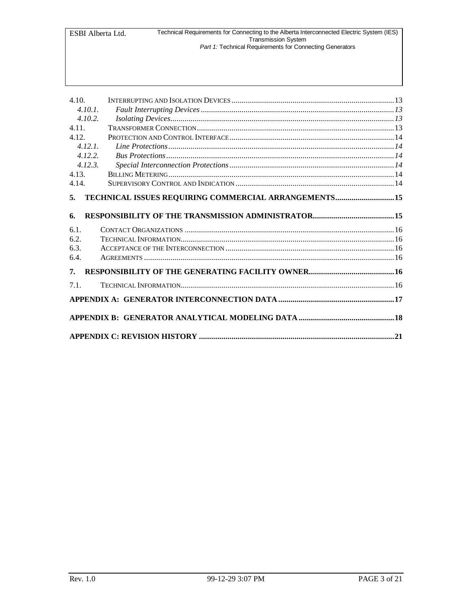| 4.10.<br>4.10.1.<br>4.10.2.<br>4.11.<br>4.12.<br>4.12.1<br>4.12.2.<br>4.12.3.<br>4.13. |                                                      |  |  |
|----------------------------------------------------------------------------------------|------------------------------------------------------|--|--|
| 4.14.                                                                                  |                                                      |  |  |
| 5.                                                                                     | TECHNICAL ISSUES REQUIRING COMMERCIAL ARRANGEMENTS15 |  |  |
| 6.<br>6.1.                                                                             |                                                      |  |  |
| 6.2.                                                                                   |                                                      |  |  |
| 6.3.                                                                                   |                                                      |  |  |
| 6.4.                                                                                   |                                                      |  |  |
|                                                                                        |                                                      |  |  |
| 7.                                                                                     |                                                      |  |  |
| 7.1.                                                                                   |                                                      |  |  |
|                                                                                        |                                                      |  |  |
|                                                                                        |                                                      |  |  |
|                                                                                        |                                                      |  |  |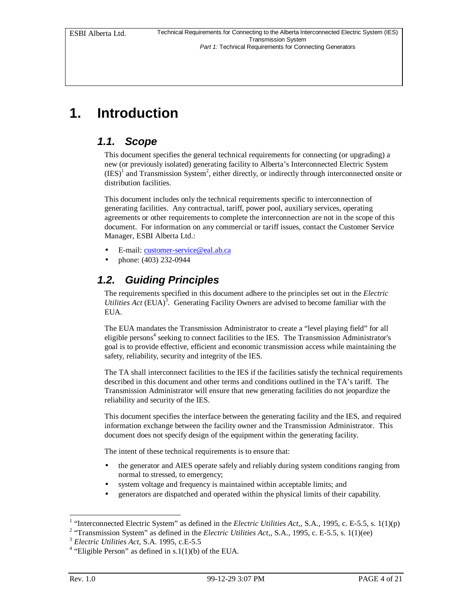## **1. Introduction**

#### *1.1. Scope*

This document specifies the general technical requirements for connecting (or upgrading) a new (or previously isolated) generating facility to Alberta's Interconnected Electric System  $(IES)^1$  and Transmission System<sup>2</sup>, either directly, or indirectly through interconnected onsite or distribution facilities.

This document includes only the technical requirements specific to interconnection of generating facilities. Any contractual, tariff, power pool, auxiliary services, operating agreements or other requirements to complete the interconnection are not in the scope of this document. For information on any commercial or tariff issues, contact the Customer Service Manager, ESBI Alberta Ltd.:

- E-mail: customer-service@eal.ab.ca
- phone: (403) 232-0944

#### *1.2. Guiding Principles*

The requirements specified in this document adhere to the principles set out in the *Electric Utilities Act* (EUA)<sup>3</sup>. Generating Facility Owners are advised to become familiar with the EUA.

The EUA mandates the Transmission Administrator to create a "level playing field" for all eligible persons<sup>4</sup> seeking to connect facilities to the IES. The Transmission Administrator's goal is to provide effective, efficient and economic transmission access while maintaining the safety, reliability, security and integrity of the IES.

The TA shall interconnect facilities to the IES if the facilities satisfy the technical requirements described in this document and other terms and conditions outlined in the TA's tariff. The Transmission Administrator will ensure that new generating facilities do not jeopardize the reliability and security of the IES.

This document specifies the interface between the generating facility and the IES, and required information exchange between the facility owner and the Transmission Administrator. This document does not specify design of the equipment within the generating facility.

The intent of these technical requirements is to ensure that:

- the generator and AIES operate safely and reliably during system conditions ranging from normal to stressed, to emergency;
- system voltage and frequency is maintained within acceptable limits; and
- generators are dispatched and operated within the physical limits of their capability.

 1 "Interconnected Electric System" as defined in the *Electric Utilities Act,*, S.A., 1995, c. E-5.5, s. 1(1)(p)

<sup>&</sup>lt;sup>2</sup> "Transmission System" as defined in the *Electric Utilities Act*,, S.A., 1995, c. E-5.5, s. 1(1)(ee)

<sup>3</sup> *Electric Utilities Act*, S.A. 1995, c.E-5.5

<sup>&</sup>lt;sup>4</sup> "Eligible Person" as defined in s.1(1)(b) of the EUA.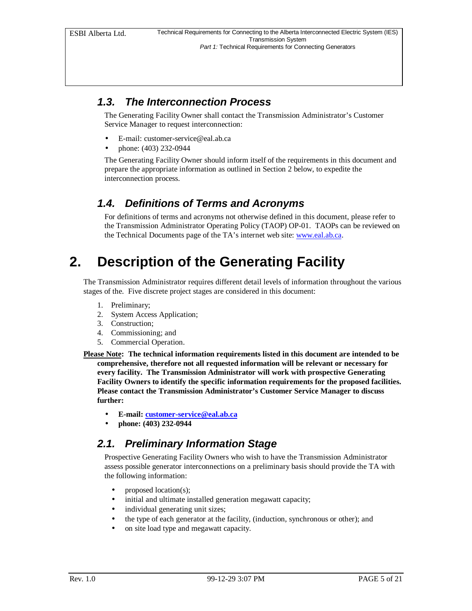#### *1.3. The Interconnection Process*

The Generating Facility Owner shall contact the Transmission Administrator's Customer Service Manager to request interconnection:

- E-mail: customer-service@eal.ab.ca
- phone: (403) 232-0944

The Generating Facility Owner should inform itself of the requirements in this document and prepare the appropriate information as outlined in Section 2 below, to expedite the interconnection process.

#### *1.4. Definitions of Terms and Acronyms*

For definitions of terms and acronyms not otherwise defined in this document, please refer to the Transmission Administrator Operating Policy (TAOP) OP-01. TAOPs can be reviewed on the Technical Documents page of the TA's internet web site: www.eal.ab.ca.

## **2. Description of the Generating Facility**

The Transmission Administrator requires different detail levels of information throughout the various stages of the. Five discrete project stages are considered in this document:

- 1. Preliminary;
- 2. System Access Application;
- 3. Construction;
- 4. Commissioning; and
- 5. Commercial Operation.
- **Please Note: The technical information requirements listed in this document are intended to be comprehensive, therefore not all requested information will be relevant or necessary for every facility. The Transmission Administrator will work with prospective Generating Facility Owners to identify the specific information requirements for the proposed facilities. Please contact the Transmission Administrator's Customer Service Manager to discuss further:**
	- **E-mail: customer-service@eal.ab.ca**
	- **phone: (403) 232-0944**

#### *2.1. Preliminary Information Stage*

Prospective Generating Facility Owners who wish to have the Transmission Administrator assess possible generator interconnections on a preliminary basis should provide the TA with the following information:

- proposed location(s);
- initial and ultimate installed generation megawatt capacity;
- individual generating unit sizes;
- the type of each generator at the facility, (induction, synchronous or other); and
- on site load type and megawatt capacity.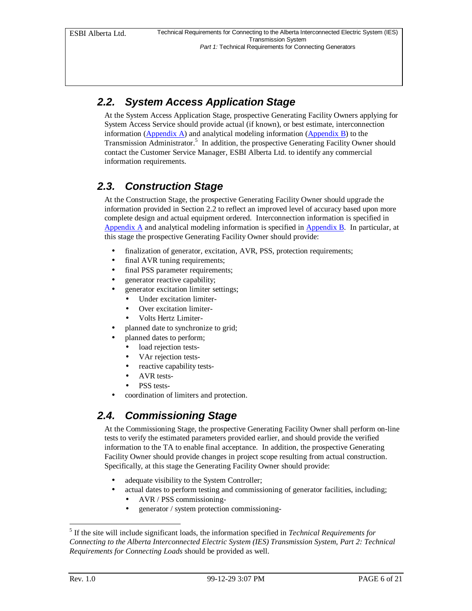## *2.2. System Access Application Stage*

At the System Access Application Stage, prospective Generating Facility Owners applying for System Access Service should provide actual (if known), or best estimate, interconnection information (Appendix A) and analytical modeling information (Appendix B) to the Transmission Administrator.<sup>5</sup> In addition, the prospective Generating Facility Owner should contact the Customer Service Manager, ESBI Alberta Ltd. to identify any commercial information requirements.

### *2.3. Construction Stage*

At the Construction Stage, the prospective Generating Facility Owner should upgrade the information provided in Section 2.2 to reflect an improved level of accuracy based upon more complete design and actual equipment ordered. Interconnection information is specified in Appendix A and analytical modeling information is specified in Appendix B. In particular, at this stage the prospective Generating Facility Owner should provide:

- finalization of generator, excitation, AVR, PSS, protection requirements;
- final AVR tuning requirements;
- final PSS parameter requirements;
- generator reactive capability;
	- generator excitation limiter settings;
		- Under excitation limiter-
		- Over excitation limiter-
		- Volts Hertz Limiter-
	- planned date to synchronize to grid;
	- planned dates to perform;
	- load rejection tests-
	- VAr rejection tests-
	- reactive capability tests-
	- AVR tests-
	- PSS tests-
- coordination of limiters and protection.

## *2.4. Commissioning Stage*

At the Commissioning Stage, the prospective Generating Facility Owner shall perform on-line tests to verify the estimated parameters provided earlier, and should provide the verified information to the TA to enable final acceptance. In addition, the prospective Generating Facility Owner should provide changes in project scope resulting from actual construction. Specifically, at this stage the Generating Facility Owner should provide:

- adequate visibility to the System Controller;
- actual dates to perform testing and commissioning of generator facilities, including;
	- AVR / PSS commissioning-
	- generator / system protection commissioning-

-

<sup>5</sup> If the site will include significant loads, the information specified in *Technical Requirements for Connecting to the Alberta Interconnected Electric System (IES) Transmission System, Part 2: Technical Requirements for Connecting Loads* should be provided as well.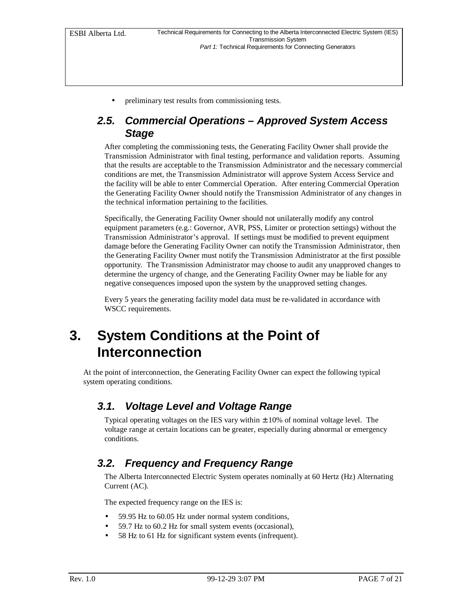• preliminary test results from commissioning tests.

#### *2.5. Commercial Operations – Approved System Access Stage*

After completing the commissioning tests, the Generating Facility Owner shall provide the Transmission Administrator with final testing, performance and validation reports. Assuming that the results are acceptable to the Transmission Administrator and the necessary commercial conditions are met, the Transmission Administrator will approve System Access Service and the facility will be able to enter Commercial Operation. After entering Commercial Operation the Generating Facility Owner should notify the Transmission Administrator of any changes in the technical information pertaining to the facilities.

Specifically, the Generating Facility Owner should not unilaterally modify any control equipment parameters (e.g.: Governor, AVR, PSS, Limiter or protection settings) without the Transmission Administrator's approval. If settings must be modified to prevent equipment damage before the Generating Facility Owner can notify the Transmission Administrator, then the Generating Facility Owner must notify the Transmission Administrator at the first possible opportunity. The Transmission Administrator may choose to audit any unapproved changes to determine the urgency of change, and the Generating Facility Owner may be liable for any negative consequences imposed upon the system by the unapproved setting changes.

Every 5 years the generating facility model data must be re-validated in accordance with WSCC requirements.

## **3. System Conditions at the Point of Interconnection**

At the point of interconnection, the Generating Facility Owner can expect the following typical system operating conditions.

#### *3.1. Voltage Level and Voltage Range*

Typical operating voltages on the IES vary within  $\pm$  10% of nominal voltage level. The voltage range at certain locations can be greater, especially during abnormal or emergency conditions.

#### *3.2. Frequency and Frequency Range*

The Alberta Interconnected Electric System operates nominally at 60 Hertz (Hz) Alternating Current (AC).

The expected frequency range on the IES is:

- 59.95 Hz to 60.05 Hz under normal system conditions,
- 59.7 Hz to 60.2 Hz for small system events (occasional),
- 58 Hz to 61 Hz for significant system events (infrequent).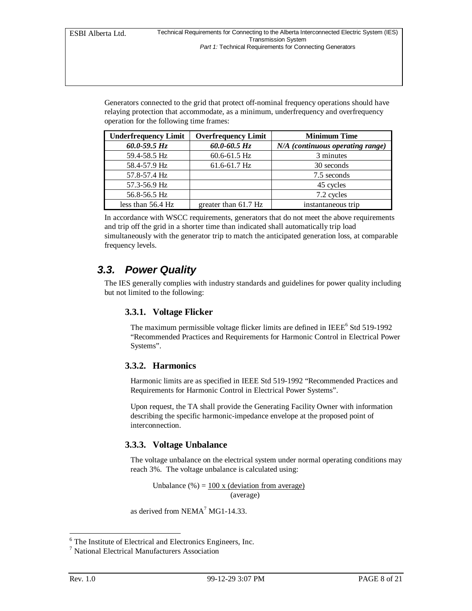Generators connected to the grid that protect off-nominal frequency operations should have relaying protection that accommodate, as a minimum, underfrequency and overfrequency operation for the following time frames:

| <b>Underfrequency Limit</b> | <b>Overfrequency Limit</b> | <b>Minimum Time</b>              |
|-----------------------------|----------------------------|----------------------------------|
| $60.0 - 59.5 Hz$            | $60.0 - 60.5$ Hz           | N/A (continuous operating range) |
| 59.4-58.5 Hz                | $60.6 - 61.5$ Hz           | 3 minutes                        |
| 58.4-57.9 Hz                | $61.6 - 61.7$ Hz           | 30 seconds                       |
| 57.8-57.4 Hz                |                            | 7.5 seconds                      |
| 57.3-56.9 Hz                |                            | 45 cycles                        |
| 56.8-56.5 Hz                |                            | 7.2 cycles                       |
| less than $56.4$ Hz         | greater than 61.7 Hz       | instantaneous trip               |

In accordance with WSCC requirements, generators that do not meet the above requirements and trip off the grid in a shorter time than indicated shall automatically trip load simultaneously with the generator trip to match the anticipated generation loss, at comparable frequency levels.

#### *3.3. Power Quality*

The IES generally complies with industry standards and guidelines for power quality including but not limited to the following:

#### **3.3.1. Voltage Flicker**

The maximum permissible voltage flicker limits are defined in IEEE<sup>6</sup> Std 519-1992 "Recommended Practices and Requirements for Harmonic Control in Electrical Power Systems".

#### **3.3.2. Harmonics**

Harmonic limits are as specified in IEEE Std 519-1992 "Recommended Practices and Requirements for Harmonic Control in Electrical Power Systems".

Upon request, the TA shall provide the Generating Facility Owner with information describing the specific harmonic-impedance envelope at the proposed point of interconnection.

#### **3.3.3. Voltage Unbalance**

The voltage unbalance on the electrical system under normal operating conditions may reach 3%. The voltage unbalance is calculated using:

Unbalance  $% = 100 x$  (deviation from average) (average)

as derived from NEMA<sup>7</sup> MG1-14.33.

-

<sup>6</sup> The Institute of Electrical and Electronics Engineers, Inc.

<sup>7</sup> National Electrical Manufacturers Association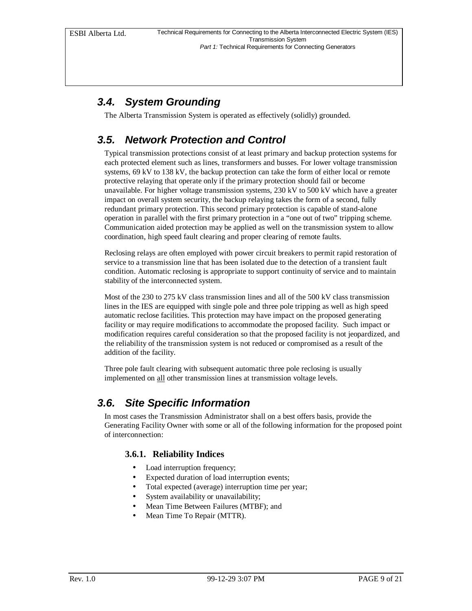## *3.4. System Grounding*

The Alberta Transmission System is operated as effectively (solidly) grounded.

## *3.5. Network Protection and Control*

Typical transmission protections consist of at least primary and backup protection systems for each protected element such as lines, transformers and busses. For lower voltage transmission systems, 69 kV to 138 kV, the backup protection can take the form of either local or remote protective relaying that operate only if the primary protection should fail or become unavailable. For higher voltage transmission systems, 230 kV to 500 kV which have a greater impact on overall system security, the backup relaying takes the form of a second, fully redundant primary protection. This second primary protection is capable of stand-alone operation in parallel with the first primary protection in a "one out of two" tripping scheme. Communication aided protection may be applied as well on the transmission system to allow coordination, high speed fault clearing and proper clearing of remote faults.

Reclosing relays are often employed with power circuit breakers to permit rapid restoration of service to a transmission line that has been isolated due to the detection of a transient fault condition. Automatic reclosing is appropriate to support continuity of service and to maintain stability of the interconnected system.

Most of the 230 to 275 kV class transmission lines and all of the 500 kV class transmission lines in the IES are equipped with single pole and three pole tripping as well as high speed automatic reclose facilities. This protection may have impact on the proposed generating facility or may require modifications to accommodate the proposed facility. Such impact or modification requires careful consideration so that the proposed facility is not jeopardized, and the reliability of the transmission system is not reduced or compromised as a result of the addition of the facility.

Three pole fault clearing with subsequent automatic three pole reclosing is usually implemented on all other transmission lines at transmission voltage levels.

## *3.6. Site Specific Information*

In most cases the Transmission Administrator shall on a best offers basis, provide the Generating Facility Owner with some or all of the following information for the proposed point of interconnection:

#### **3.6.1. Reliability Indices**

- Load interruption frequency;
- Expected duration of load interruption events;
- Total expected (average) interruption time per year;
- System availability or unavailability;
- Mean Time Between Failures (MTBF); and
- Mean Time To Repair (MTTR).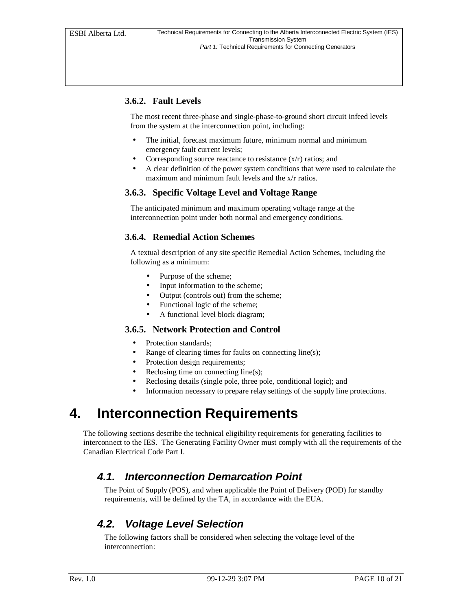#### **3.6.2. Fault Levels**

The most recent three-phase and single-phase-to-ground short circuit infeed levels from the system at the interconnection point, including:

- The initial, forecast maximum future, minimum normal and minimum emergency fault current levels;
- Corresponding source reactance to resistance  $(x/r)$  ratios; and
- A clear definition of the power system conditions that were used to calculate the maximum and minimum fault levels and the x/r ratios.

#### **3.6.3. Specific Voltage Level and Voltage Range**

The anticipated minimum and maximum operating voltage range at the interconnection point under both normal and emergency conditions.

#### **3.6.4. Remedial Action Schemes**

A textual description of any site specific Remedial Action Schemes, including the following as a minimum:

- Purpose of the scheme;
- Input information to the scheme;
- Output (controls out) from the scheme;
- Functional logic of the scheme;
- A functional level block diagram;

#### **3.6.5. Network Protection and Control**

- Protection standards:
- Range of clearing times for faults on connecting line(s);
- Protection design requirements;
- Reclosing time on connecting line(s);
- Reclosing details (single pole, three pole, conditional logic); and
- Information necessary to prepare relay settings of the supply line protections.

## **4. Interconnection Requirements**

The following sections describe the technical eligibility requirements for generating facilities to interconnect to the IES. The Generating Facility Owner must comply with all the requirements of the Canadian Electrical Code Part I.

#### *4.1. Interconnection Demarcation Point*

The Point of Supply (POS), and when applicable the Point of Delivery (POD) for standby requirements, will be defined by the TA, in accordance with the EUA.

#### *4.2. Voltage Level Selection*

The following factors shall be considered when selecting the voltage level of the interconnection: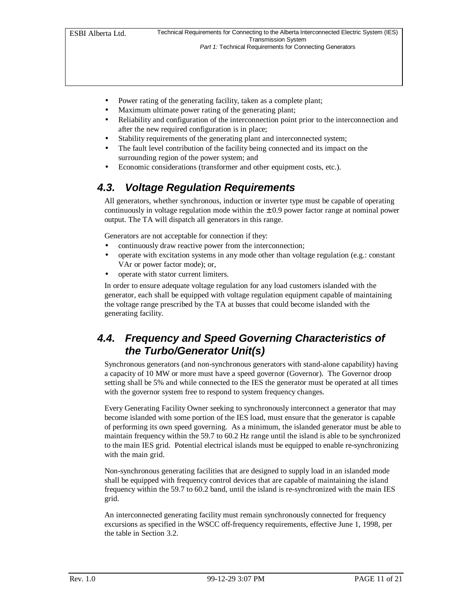- Power rating of the generating facility, taken as a complete plant;
- Maximum ultimate power rating of the generating plant;
- Reliability and configuration of the interconnection point prior to the interconnection and after the new required configuration is in place;
- Stability requirements of the generating plant and interconnected system;
- The fault level contribution of the facility being connected and its impact on the surrounding region of the power system; and
- Economic considerations (transformer and other equipment costs, etc.).

## *4.3. Voltage Regulation Requirements*

All generators, whether synchronous, induction or inverter type must be capable of operating continuously in voltage regulation mode within the  $\pm$  0.9 power factor range at nominal power output. The TA will dispatch all generators in this range.

Generators are not acceptable for connection if they:

- continuously draw reactive power from the interconnection;
- operate with excitation systems in any mode other than voltage regulation (e.g.: constant VAr or power factor mode); or,
- operate with stator current limiters.

In order to ensure adequate voltage regulation for any load customers islanded with the generator, each shall be equipped with voltage regulation equipment capable of maintaining the voltage range prescribed by the TA at busses that could become islanded with the generating facility.

### *4.4. Frequency and Speed Governing Characteristics of the Turbo/Generator Unit(s)*

Synchronous generators (and non-synchronous generators with stand-alone capability) having a capacity of 10 MW or more must have a speed governor (Governor). The Governor droop setting shall be 5% and while connected to the IES the generator must be operated at all times with the governor system free to respond to system frequency changes.

Every Generating Facility Owner seeking to synchronously interconnect a generator that may become islanded with some portion of the IES load, must ensure that the generator is capable of performing its own speed governing. As a minimum, the islanded generator must be able to maintain frequency within the 59.7 to 60.2 Hz range until the island is able to be synchronized to the main IES grid. Potential electrical islands must be equipped to enable re-synchronizing with the main grid.

Non-synchronous generating facilities that are designed to supply load in an islanded mode shall be equipped with frequency control devices that are capable of maintaining the island frequency within the 59.7 to 60.2 band, until the island is re-synchronized with the main IES grid.

An interconnected generating facility must remain synchronously connected for frequency excursions as specified in the WSCC off-frequency requirements, effective June 1, 1998, per the table in Section 3.2.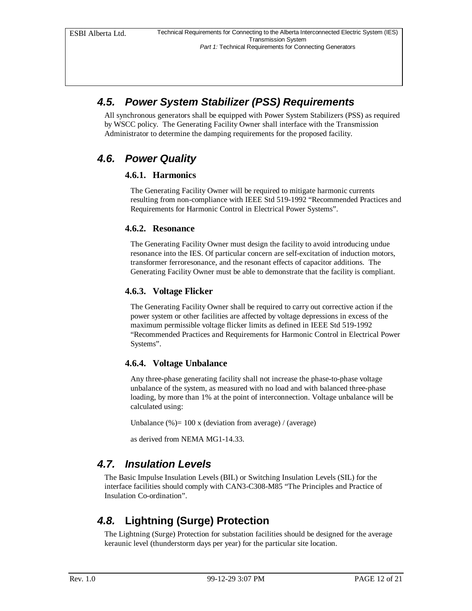### *4.5. Power System Stabilizer (PSS) Requirements*

All synchronous generators shall be equipped with Power System Stabilizers (PSS) as required by WSCC policy. The Generating Facility Owner shall interface with the Transmission Administrator to determine the damping requirements for the proposed facility.

#### *4.6. Power Quality*

#### **4.6.1. Harmonics**

The Generating Facility Owner will be required to mitigate harmonic currents resulting from non-compliance with IEEE Std 519-1992 "Recommended Practices and Requirements for Harmonic Control in Electrical Power Systems".

#### **4.6.2. Resonance**

The Generating Facility Owner must design the facility to avoid introducing undue resonance into the IES. Of particular concern are self-excitation of induction motors, transformer ferroresonance, and the resonant effects of capacitor additions. The Generating Facility Owner must be able to demonstrate that the facility is compliant.

#### **4.6.3. Voltage Flicker**

The Generating Facility Owner shall be required to carry out corrective action if the power system or other facilities are affected by voltage depressions in excess of the maximum permissible voltage flicker limits as defined in IEEE Std 519-1992 "Recommended Practices and Requirements for Harmonic Control in Electrical Power Systems".

#### **4.6.4. Voltage Unbalance**

Any three-phase generating facility shall not increase the phase-to-phase voltage unbalance of the system, as measured with no load and with balanced three-phase loading, by more than 1% at the point of interconnection. Voltage unbalance will be calculated using:

Unbalance  $(\%) = 100 \times$  (deviation from average) / (average)

as derived from NEMA MG1-14.33.

#### *4.7. Insulation Levels*

The Basic Impulse Insulation Levels (BIL) or Switching Insulation Levels (SIL) for the interface facilities should comply with CAN3-C308-M85 "The Principles and Practice of Insulation Co-ordination".

## *4.8.* **Lightning (Surge) Protection**

The Lightning (Surge) Protection for substation facilities should be designed for the average keraunic level (thunderstorm days per year) for the particular site location.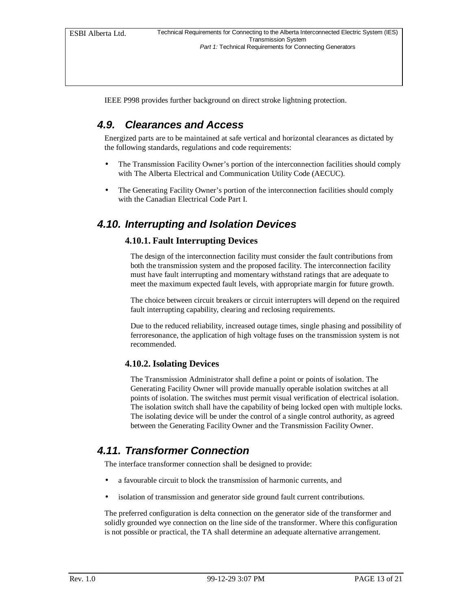IEEE P998 provides further background on direct stroke lightning protection.

### *4.9. Clearances and Access*

Energized parts are to be maintained at safe vertical and horizontal clearances as dictated by the following standards, regulations and code requirements:

- The Transmission Facility Owner's portion of the interconnection facilities should comply with The Alberta Electrical and Communication Utility Code (AECUC).
- The Generating Facility Owner's portion of the interconnection facilities should comply with the Canadian Electrical Code Part I.

#### *4.10. Interrupting and Isolation Devices*

#### **4.10.1. Fault Interrupting Devices**

The design of the interconnection facility must consider the fault contributions from both the transmission system and the proposed facility. The interconnection facility must have fault interrupting and momentary withstand ratings that are adequate to meet the maximum expected fault levels, with appropriate margin for future growth.

The choice between circuit breakers or circuit interrupters will depend on the required fault interrupting capability, clearing and reclosing requirements.

Due to the reduced reliability, increased outage times, single phasing and possibility of ferroresonance, the application of high voltage fuses on the transmission system is not recommended.

#### **4.10.2. Isolating Devices**

The Transmission Administrator shall define a point or points of isolation. The Generating Facility Owner will provide manually operable isolation switches at all points of isolation. The switches must permit visual verification of electrical isolation. The isolation switch shall have the capability of being locked open with multiple locks. The isolating device will be under the control of a single control authority, as agreed between the Generating Facility Owner and the Transmission Facility Owner.

#### *4.11. Transformer Connection*

The interface transformer connection shall be designed to provide:

- a favourable circuit to block the transmission of harmonic currents, and
- isolation of transmission and generator side ground fault current contributions.

The preferred configuration is delta connection on the generator side of the transformer and solidly grounded wye connection on the line side of the transformer. Where this configuration is not possible or practical, the TA shall determine an adequate alternative arrangement.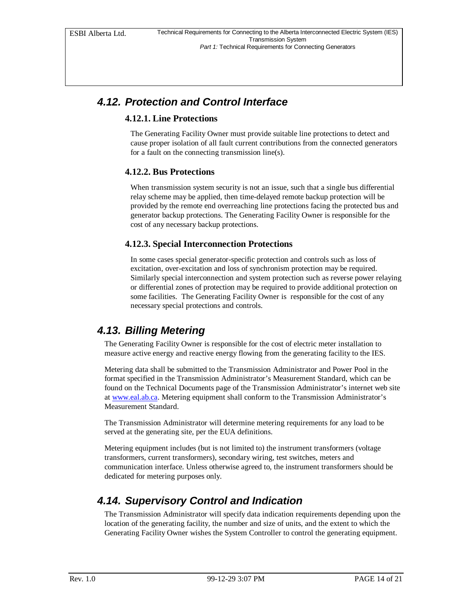### *4.12. Protection and Control Interface*

#### **4.12.1. Line Protections**

The Generating Facility Owner must provide suitable line protections to detect and cause proper isolation of all fault current contributions from the connected generators for a fault on the connecting transmission line(s).

#### **4.12.2. Bus Protections**

When transmission system security is not an issue, such that a single bus differential relay scheme may be applied, then time-delayed remote backup protection will be provided by the remote end overreaching line protections facing the protected bus and generator backup protections. The Generating Facility Owner is responsible for the cost of any necessary backup protections.

#### **4.12.3. Special Interconnection Protections**

In some cases special generator-specific protection and controls such as loss of excitation, over-excitation and loss of synchronism protection may be required. Similarly special interconnection and system protection such as reverse power relaying or differential zones of protection may be required to provide additional protection on some facilities. The Generating Facility Owner is responsible for the cost of any necessary special protections and controls.

#### *4.13. Billing Metering*

The Generating Facility Owner is responsible for the cost of electric meter installation to measure active energy and reactive energy flowing from the generating facility to the IES.

Metering data shall be submitted to the Transmission Administrator and Power Pool in the format specified in the Transmission Administrator's Measurement Standard, which can be found on the Technical Documents page of the Transmission Administrator's internet web site at www.eal.ab.ca. Metering equipment shall conform to the Transmission Administrator's Measurement Standard.

The Transmission Administrator will determine metering requirements for any load to be served at the generating site, per the EUA definitions.

Metering equipment includes (but is not limited to) the instrument transformers (voltage transformers, current transformers), secondary wiring, test switches, meters and communication interface. Unless otherwise agreed to, the instrument transformers should be dedicated for metering purposes only.

#### *4.14. Supervisory Control and Indication*

The Transmission Administrator will specify data indication requirements depending upon the location of the generating facility, the number and size of units, and the extent to which the Generating Facility Owner wishes the System Controller to control the generating equipment.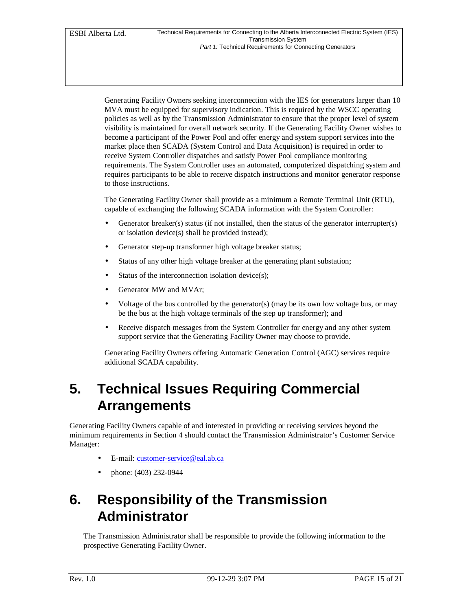Generating Facility Owners seeking interconnection with the IES for generators larger than 10 MVA must be equipped for supervisory indication. This is required by the WSCC operating policies as well as by the Transmission Administrator to ensure that the proper level of system visibility is maintained for overall network security. If the Generating Facility Owner wishes to become a participant of the Power Pool and offer energy and system support services into the market place then SCADA (System Control and Data Acquisition) is required in order to receive System Controller dispatches and satisfy Power Pool compliance monitoring requirements. The System Controller uses an automated, computerized dispatching system and requires participants to be able to receive dispatch instructions and monitor generator response to those instructions.

The Generating Facility Owner shall provide as a minimum a Remote Terminal Unit (RTU), capable of exchanging the following SCADA information with the System Controller:

- Generator breaker(s) status (if not installed, then the status of the generator interrupter(s) or isolation device(s) shall be provided instead);
- Generator step-up transformer high voltage breaker status;
- Status of any other high voltage breaker at the generating plant substation;
- Status of the interconnection isolation device(s);
- Generator MW and MVAr;
- Voltage of the bus controlled by the generator(s) (may be its own low voltage bus, or may be the bus at the high voltage terminals of the step up transformer); and
- Receive dispatch messages from the System Controller for energy and any other system support service that the Generating Facility Owner may choose to provide.

Generating Facility Owners offering Automatic Generation Control (AGC) services require additional SCADA capability.

## **5. Technical Issues Requiring Commercial Arrangements**

Generating Facility Owners capable of and interested in providing or receiving services beyond the minimum requirements in Section 4 should contact the Transmission Administrator's Customer Service Manager:

- E-mail: customer-service@eal.ab.ca
- phone: (403) 232-0944

## **6. Responsibility of the Transmission Administrator**

The Transmission Administrator shall be responsible to provide the following information to the prospective Generating Facility Owner.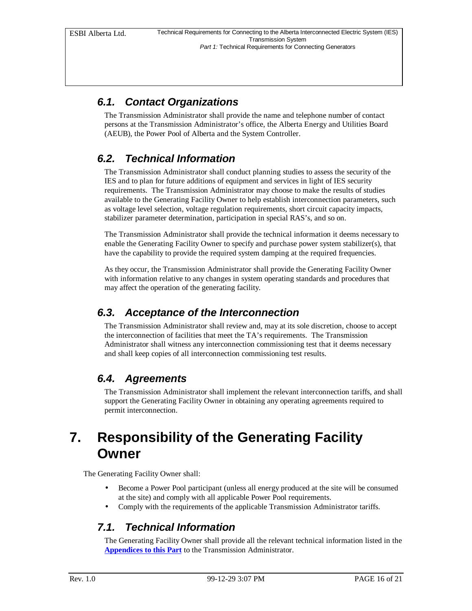## *6.1. Contact Organizations*

The Transmission Administrator shall provide the name and telephone number of contact persons at the Transmission Administrator's office, the Alberta Energy and Utilities Board (AEUB), the Power Pool of Alberta and the System Controller.

## *6.2. Technical Information*

The Transmission Administrator shall conduct planning studies to assess the security of the IES and to plan for future additions of equipment and services in light of IES security requirements. The Transmission Administrator may choose to make the results of studies available to the Generating Facility Owner to help establish interconnection parameters, such as voltage level selection, voltage regulation requirements, short circuit capacity impacts, stabilizer parameter determination, participation in special RAS's, and so on.

The Transmission Administrator shall provide the technical information it deems necessary to enable the Generating Facility Owner to specify and purchase power system stabilizer(s), that have the capability to provide the required system damping at the required frequencies.

As they occur, the Transmission Administrator shall provide the Generating Facility Owner with information relative to any changes in system operating standards and procedures that may affect the operation of the generating facility.

## *6.3. Acceptance of the Interconnection*

The Transmission Administrator shall review and, may at its sole discretion, choose to accept the interconnection of facilities that meet the TA's requirements. The Transmission Administrator shall witness any interconnection commissioning test that it deems necessary and shall keep copies of all interconnection commissioning test results.

## *6.4. Agreements*

The Transmission Administrator shall implement the relevant interconnection tariffs, and shall support the Generating Facility Owner in obtaining any operating agreements required to permit interconnection.

## **7. Responsibility of the Generating Facility Owner**

The Generating Facility Owner shall:

- Become a Power Pool participant (unless all energy produced at the site will be consumed at the site) and comply with all applicable Power Pool requirements.
- Comply with the requirements of the applicable Transmission Administrator tariffs.

## *7.1. Technical Information*

The Generating Facility Owner shall provide all the relevant technical information listed in the **Appendices to this Part** to the Transmission Administrator.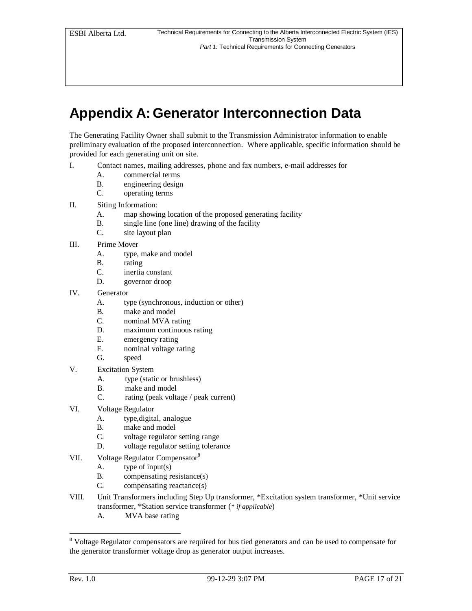## **Appendix A: Generator Interconnection Data**

The Generating Facility Owner shall submit to the Transmission Administrator information to enable preliminary evaluation of the proposed interconnection. Where applicable, specific information should be provided for each generating unit on site.

- I. Contact names, mailing addresses, phone and fax numbers, e-mail addresses for
	- A. commercial terms
	- B. engineering design
	- C. operating terms
- II. Siting Information:
	- A. map showing location of the proposed generating facility
	- B. single line (one line) drawing of the facility
	- C. site layout plan
- III. Prime Mover
	- A. type, make and model
	- B. rating
	- C. inertia constant
	- D. governor droop
- IV. Generator
	- A. type (synchronous, induction or other)
	- B. make and model
	- C. nominal MVA rating
	- D. maximum continuous rating
	- E. emergency rating
	- F. nominal voltage rating
	- G. speed
- V. Excitation System
	- A. type (static or brushless)
	- B. make and model
	- C. rating (peak voltage / peak current)
- VI. Voltage Regulator
	- A. type,digital, analogue
	- B. make and model
	- C. voltage regulator setting range
	- D. voltage regulator setting tolerance
- VII. Voltage Regulator Compensator<sup>8</sup>
	- A. type of input(s)
	- B. compensating resistance(s)
	- C. compensating reactance(s)
- VIII. Unit Transformers including Step Up transformer, \*Excitation system transformer, \*Unit service transformer, \*Station service transformer (*\* if applicable*)
	- A. MVA base rating

Woltage Regulator compensators are required for bus tied generators and can be used to compensate for the generator transformer voltage drop as generator output increases.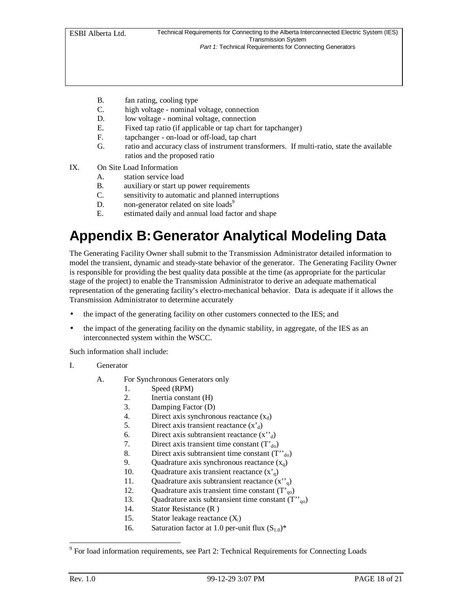- B. fan rating, cooling type
- C. high voltage nominal voltage, connection
- D. low voltage nominal voltage, connection
- E. Fixed tap ratio (if applicable or tap chart for tapchanger)
- F. tapchanger on-load or off-load, tap chart
- G. ratio and accuracy class of instrument transformers. If multi-ratio, state the available ratios and the proposed ratio
- IX. On Site Load Information
	- A. station service load
	- B. auxiliary or start up power requirements
	- C. sensitivity to automatic and planned interruptions
	- D. non-generator related on site loads $9$
	- E. estimated daily and annual load factor and shape

## **Appendix B:Generator Analytical Modeling Data**

The Generating Facility Owner shall submit to the Transmission Administrator detailed information to model the transient, dynamic and steady-state behavior of the generator. The Generating Facility Owner is responsible for providing the best quality data possible at the time (as appropriate for the particular stage of the project) to enable the Transmission Administrator to derive an adequate mathematical representation of the generating facility's electro-mechanical behavior. Data is adequate if it allows the Transmission Administrator to determine accurately

- the impact of the generating facility on other customers connected to the IES; and
- the impact of the generating facility on the dynamic stability, in aggregate, of the IES as an interconnected system within the WSCC.

Such information shall include:

- I. Generator
	- A. For Synchronous Generators only
		- 1. Speed (RPM)
		- 2. Inertia constant (H)
		- 3. Damping Factor (D)
		- 4. Direct axis synchronous reactance  $(x_d)$
		- 5. Direct axis transient reactance  $(x<sub>d</sub>)$
		- 6. Direct axis subtransient reactance  $(x''_d)$
		- 7. Direct axis transient time constant  $(T<sub>d0</sub>)$
		- 8. Direct axis subtransient time constant  $(T''_{d0})$
		- 9. Quadrature axis synchronous reactance  $(x_q)$
		- 10. Quadrature axis transient reactance  $(x<sub>0</sub>)$
		- 11. Quadrature axis subtransient reactance  $(x^{\prime\prime})$
		- 12. Quadrature axis transient time constant  $(T<sub>q0</sub>)$
		- 13. Quadrature axis subtransient time constant  $(T''_{q0})$
		- 14. Stator Resistance (R )
		- 15. Stator leakage reactance (X*<sup>l</sup>* )
		- 16. Saturation factor at 1.0 per-unit flux  $(S_{1,0})^*$

-

<sup>&</sup>lt;sup>9</sup> For load information requirements, see Part 2: Technical Requirements for Connecting Loads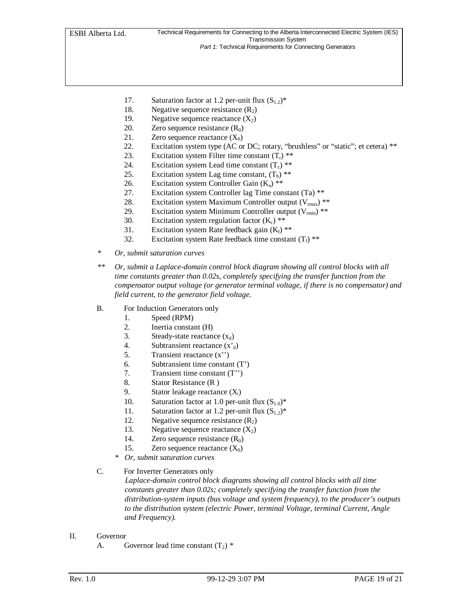- 17. Saturation factor at 1.2 per-unit flux  $(S_{1,2})^*$
- 18. Negative sequence resistance  $(R_2)$
- 19. Negative sequence reactance  $(X_2)$
- 20. Zero sequence resistance  $(R_0)$
- 21. Zero sequence reactance  $(X_0)$
- 22. Excitation system type (AC or DC; rotary, "brushless" or "static"; et cetera) \*\*
- 23. Excitation system Filter time constant  $(T_r)$ <sup>\*\*</sup>
- 24. Excitation system Lead time constant  $(T_c)$ <sup>\*\*</sup>
- 25. Excitation system Lag time constant,  $(T_b)$ <sup>\*\*</sup>
- 26. Excitation system Controller Gain  $(K_a)$ <sup>\*\*</sup>
- 27. Excitation system Controller lag Time constant (Ta) \*\*
- 28. Excitation system Maximum Controller output  $(V_{\text{max}})$ <sup>\*\*</sup>
- 29. Excitation system Minimum Controller output  $(V_{\text{min}})$ <sup>\*\*</sup>
- 30. Excitation system regulation factor  $(K_c)$  \*\*
- 31. Excitation system Rate feedback gain  $(K_f)$ <sup>\*\*</sup>
- 32. Excitation system Rate feedback time constant  $(T_f)$ <sup>\*\*</sup>
- *\* Or, submit saturation curves*
- *\*\* Or, submit a Laplace-domain control block diagram showing all control blocks with all time constants greater than 0.02s, completely specifying the transfer function from the compensator output voltage (or generator terminal voltage, if there is no compensator) and field current, to the generator field voltage.*
- B. For Induction Generators only
	- 1. Speed (RPM)
	- 2. Inertia constant (H)
	- 3. Steady-state reactance  $(x_d)$
	- 4. Subtransient reactance  $(x<sub>d</sub>)$
	- 5. Transient reactance (x'')
	- 6. Subtransient time constant (T')
	- 7. Transient time constant (T'')
	- 8. Stator Resistance (R )
	- 9. Stator leakage reactance (X*<sup>l</sup>* )
	- 10. Saturation factor at 1.0 per-unit flux  $(S_{1,0})^*$
	- 11. Saturation factor at 1.2 per-unit flux  $(S_{1,2})^*$
	- 12. Negative sequence resistance  $(R_2)$
	- 13. Negative sequence reactance  $(X_2)$
	- 14. Zero sequence resistance  $(R_0)$
	- 15. Zero sequence reactance  $(X_0)$
	- *\* Or, submit saturation curves*
- C. For Inverter Generators only

*Laplace-domain control block diagrams showing all control blocks with all time constants greater than 0.02s; completely specifying the transfer function from the distribution-system inputs (bus voltage and system frequency), to the producer's outputs to the distribution system (electric Power, terminal Voltage, terminal Current, Angle and Frequency).*

- II. Governor
	- A. Governor lead time constant  $(T_2)$  \*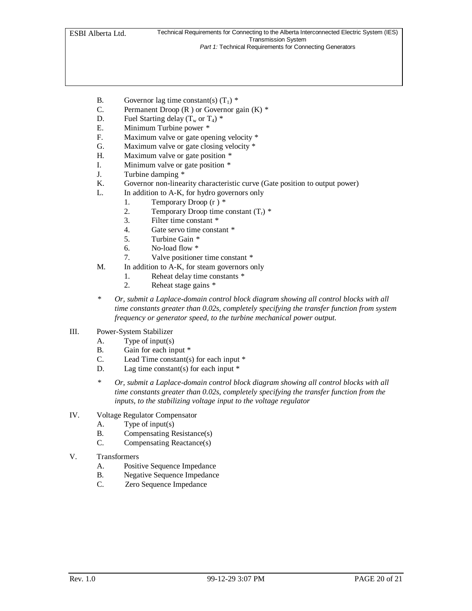- B. Governor lag time constant(s)  $(T_1)$  \*
- C. Permanent Droop (R ) or Governor gain (K) *\**
- D. Fuel Starting delay  $(T_w \text{ or } T_4)$  \*
- E. Minimum Turbine power *\**
- F. Maximum valve or gate opening velocity *\**
- G. Maximum valve or gate closing velocity *\**
- H. Maximum valve or gate position *\**
- I. Minimum valve or gate position *\**
- J. Turbine damping *\**
- K. Governor non-linearity characteristic curve (Gate position to output power)
- L. In addition to A-K, for hydro governors only
	- 1. Temporary Droop (r ) *\**
	- 2. Temporary Droop time constant  $(T_r)$  \*
	- 3. Filter time constant *\**
	- 4. Gate servo time constant *\**
	- 5. Turbine Gain *\**
	- 6. No-load flow *\**
	- 7. Valve positioner time constant *\**
- M. In addition to A-K, for steam governors only
	- 1. Reheat delay time constants *\**
	- 2. Reheat stage gains *\**
- *\* Or, submit a Laplace-domain control block diagram showing all control blocks with all time constants greater than 0.02s, completely specifying the transfer function from system frequency or generator speed, to the turbine mechanical power output.*
- III. Power-System Stabilizer
	- A. Type of input(s)
	- B. Gain for each input \*
	- C. Lead Time constant(s) for each input \*
	- D. Lag time constant(s) for each input  $*$
	- *\* Or, submit a Laplace-domain control block diagram showing all control blocks with all time constants greater than 0.02s, completely specifying the transfer function from the inputs, to the stabilizing voltage input to the voltage regulator*
- IV. Voltage Regulator Compensator
	- A. Type of input(s)
	- B. Compensating Resistance(s)
	- C. Compensating Reactance(s)
- V. Transformers
	- A. Positive Sequence Impedance
	- B. Negative Sequence Impedance
	- C. Zero Sequence Impedance